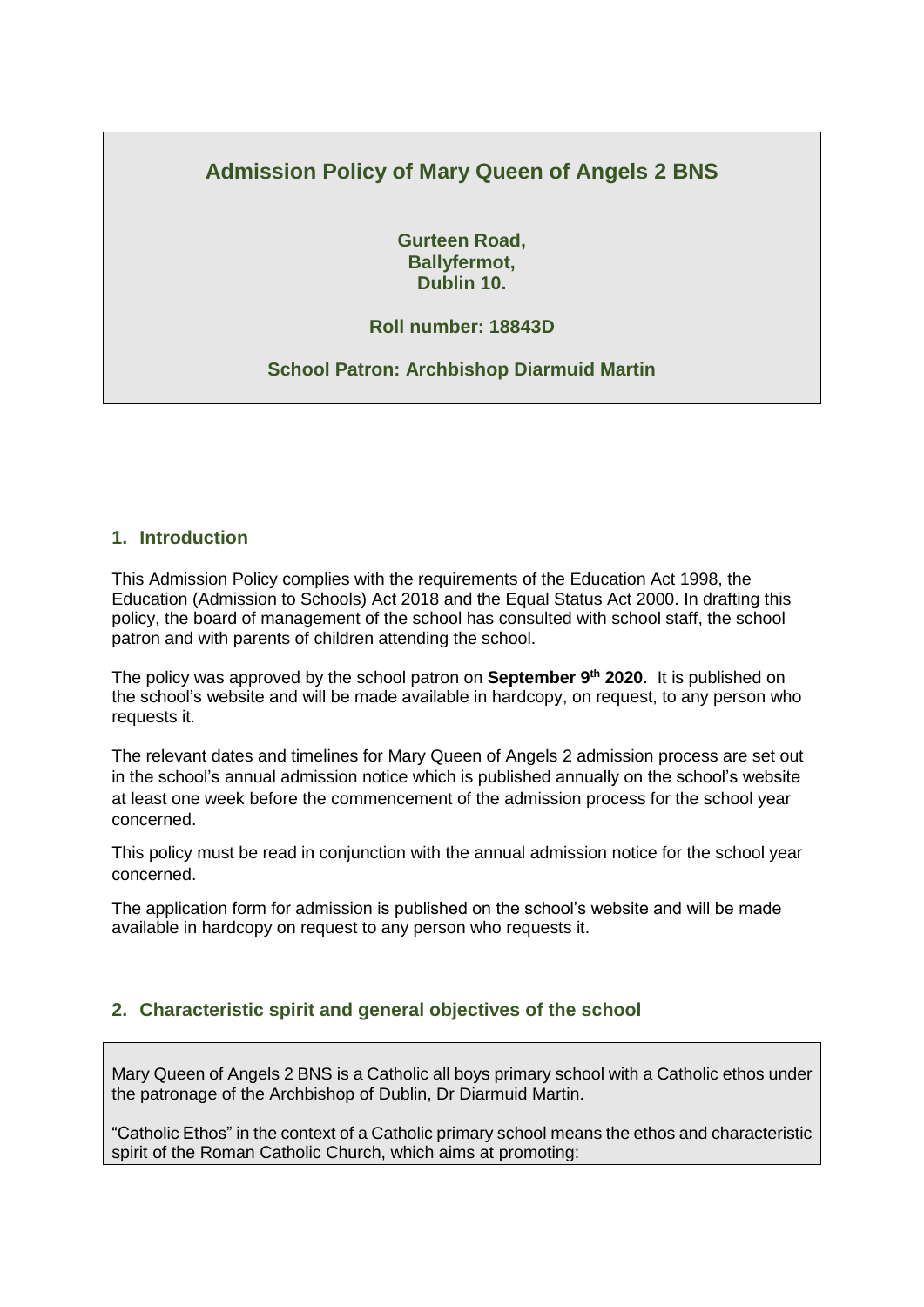# **Admission Policy of Mary Queen of Angels 2 BNS**

**Gurteen Road, Ballyfermot, Dublin 10.**

## **Roll number: 18843D**

#### **School Patron: Archbishop Diarmuid Martin**

#### **1. Introduction**

This Admission Policy complies with the requirements of the Education Act 1998, the Education (Admission to Schools) Act 2018 and the Equal Status Act 2000. In drafting this policy, the board of management of the school has consulted with school staff, the school patron and with parents of children attending the school.

The policy was approved by the school patron on **September 9 th 2020**. It is published on the school's website and will be made available in hardcopy, on request, to any person who requests it.

The relevant dates and timelines for Mary Queen of Angels 2 admission process are set out in the school's annual admission notice which is published annually on the school's website at least one week before the commencement of the admission process for the school year concerned.

This policy must be read in conjunction with the annual admission notice for the school year concerned.

The application form for admission is published on the school's website and will be made available in hardcopy on request to any person who requests it.

## **2. Characteristic spirit and general objectives of the school**

Mary Queen of Angels 2 BNS is a Catholic all boys primary school with a Catholic ethos under the patronage of the Archbishop of Dublin, Dr Diarmuid Martin.

"Catholic Ethos" in the context of a Catholic primary school means the ethos and characteristic spirit of the Roman Catholic Church, which aims at promoting: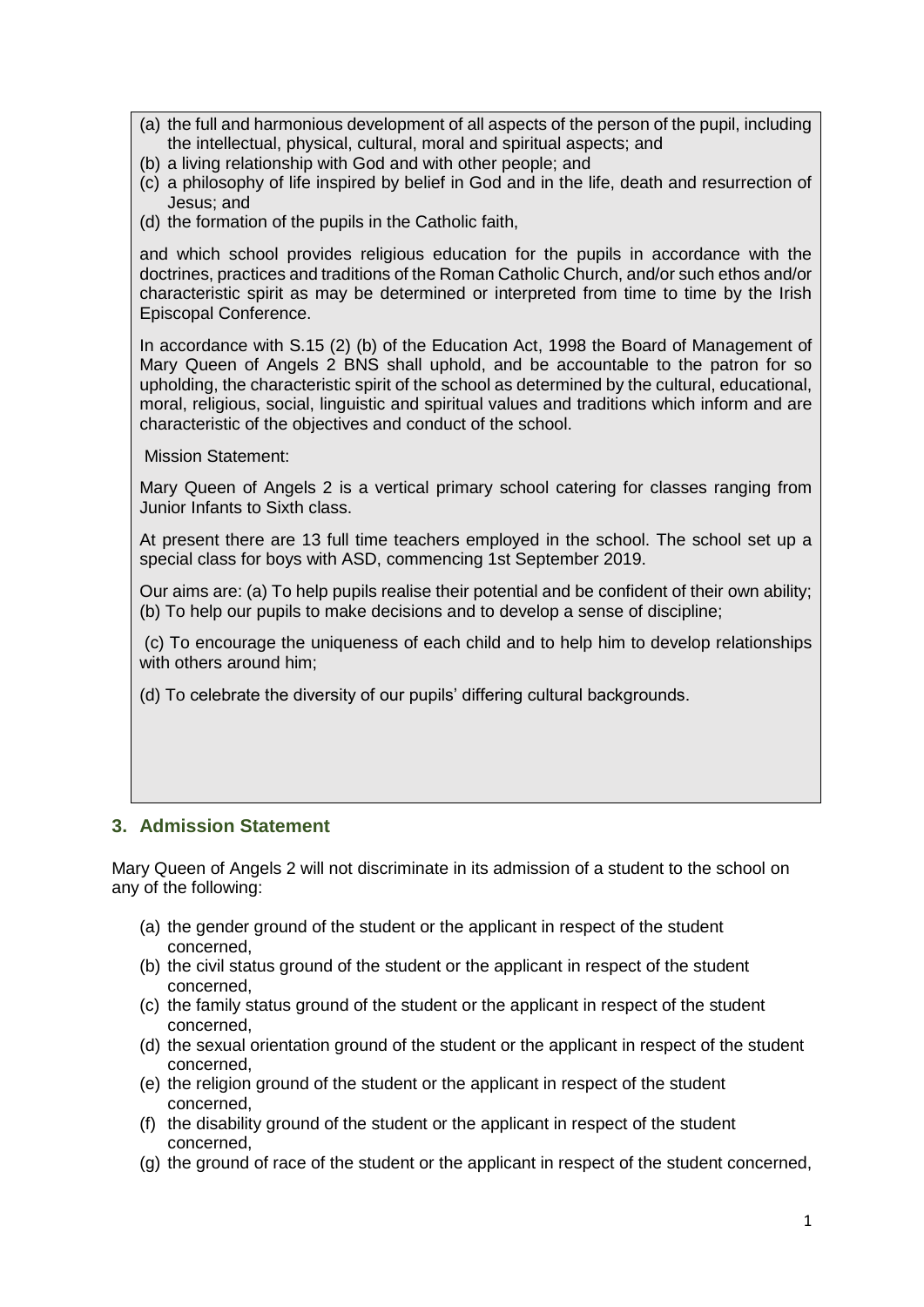- (a) the full and harmonious development of all aspects of the person of the pupil, including the intellectual, physical, cultural, moral and spiritual aspects; and
- (b) a living relationship with God and with other people; and
- (c) a philosophy of life inspired by belief in God and in the life, death and resurrection of Jesus; and
- (d) the formation of the pupils in the Catholic faith,

and which school provides religious education for the pupils in accordance with the doctrines, practices and traditions of the Roman Catholic Church, and/or such ethos and/or characteristic spirit as may be determined or interpreted from time to time by the Irish Episcopal Conference.

In accordance with S.15 (2) (b) of the Education Act, 1998 the Board of Management of Mary Queen of Angels 2 BNS shall uphold, and be accountable to the patron for so upholding, the characteristic spirit of the school as determined by the cultural, educational, moral, religious, social, linguistic and spiritual values and traditions which inform and are characteristic of the objectives and conduct of the school.

Mission Statement:

Mary Queen of Angels 2 is a vertical primary school catering for classes ranging from Junior Infants to Sixth class.

At present there are 13 full time teachers employed in the school. The school set up a special class for boys with ASD, commencing 1st September 2019.

Our aims are: (a) To help pupils realise their potential and be confident of their own ability; (b) To help our pupils to make decisions and to develop a sense of discipline;

(c) To encourage the uniqueness of each child and to help him to develop relationships with others around him;

(d) To celebrate the diversity of our pupils' differing cultural backgrounds.

## **3. Admission Statement**

Mary Queen of Angels 2 will not discriminate in its admission of a student to the school on any of the following:

- (a) the gender ground of the student or the applicant in respect of the student concerned,
- (b) the civil status ground of the student or the applicant in respect of the student concerned,
- (c) the family status ground of the student or the applicant in respect of the student concerned,
- (d) the sexual orientation ground of the student or the applicant in respect of the student concerned,
- (e) the religion ground of the student or the applicant in respect of the student concerned,
- (f) the disability ground of the student or the applicant in respect of the student concerned,
- (g) the ground of race of the student or the applicant in respect of the student concerned,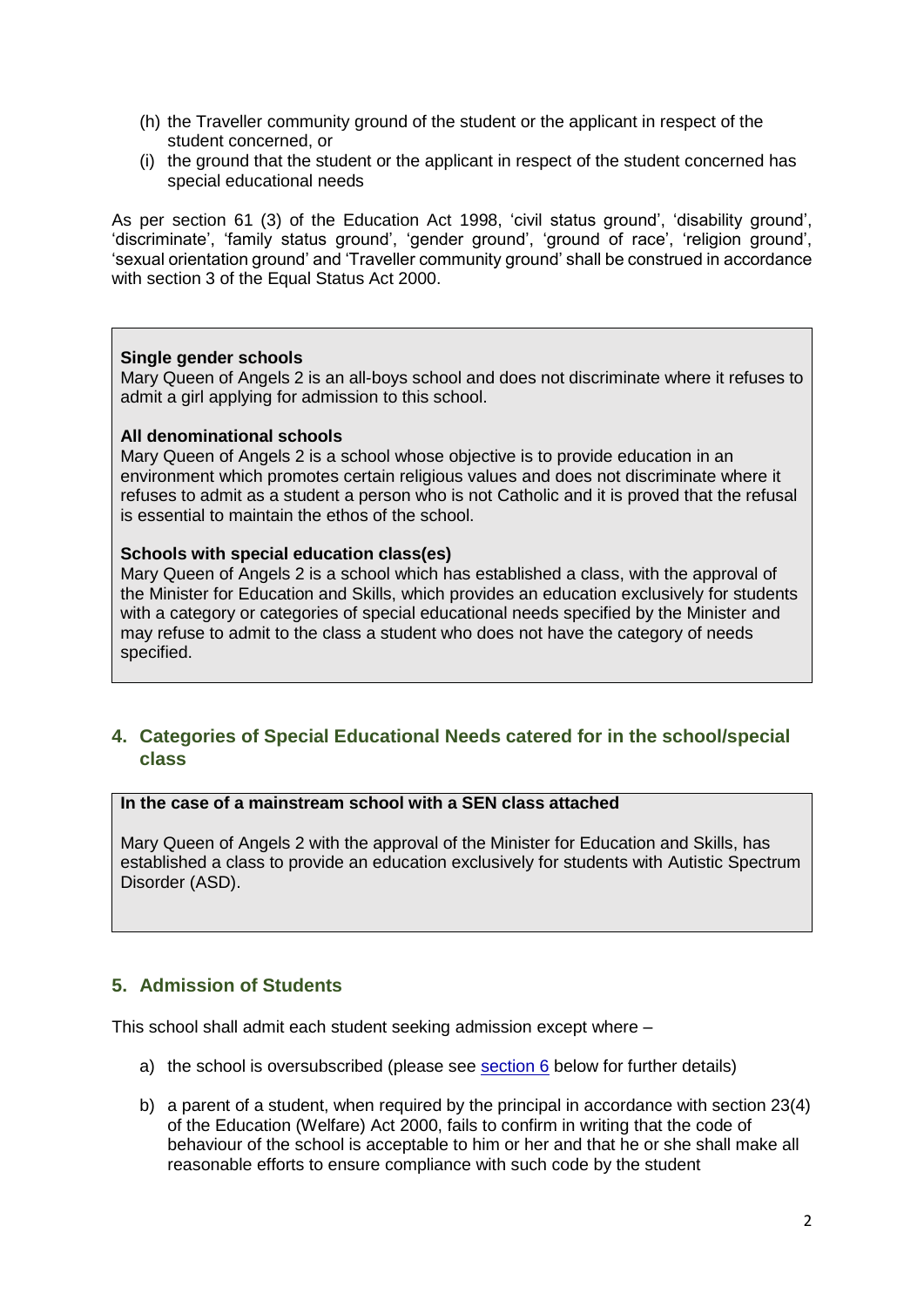- (h) the Traveller community ground of the student or the applicant in respect of the student concerned, or
- (i) the ground that the student or the applicant in respect of the student concerned has special educational needs

As per section 61 (3) of the Education Act 1998, 'civil status ground', 'disability ground', 'discriminate', 'family status ground', 'gender ground', 'ground of race', 'religion ground', 'sexual orientation ground' and 'Traveller community ground' shall be construed in accordance with section 3 of the Equal Status Act 2000.

#### **Single gender schools**

Mary Queen of Angels 2 is an all-boys school and does not discriminate where it refuses to admit a girl applying for admission to this school.

#### **All denominational schools**

Mary Queen of Angels 2 is a school whose objective is to provide education in an environment which promotes certain religious values and does not discriminate where it refuses to admit as a student a person who is not Catholic and it is proved that the refusal is essential to maintain the ethos of the school.

#### **Schools with special education class(es)**

Mary Queen of Angels 2 is a school which has established a class, with the approval of the Minister for Education and Skills, which provides an education exclusively for students with a category or categories of special educational needs specified by the Minister and may refuse to admit to the class a student who does not have the category of needs specified.

## **4. Categories of Special Educational Needs catered for in the school/special class**

#### **In the case of a mainstream school with a SEN class attached**

Mary Queen of Angels 2 with the approval of the Minister for Education and Skills, has established a class to provide an education exclusively for students with Autistic Spectrum Disorder (ASD).

## **5. Admission of Students**

This school shall admit each student seeking admission except where –

- a) the school is oversubscribed (please see [section 6](#page-3-0) below for further details)
- b) a parent of a student, when required by the principal in accordance with section 23(4) of the Education (Welfare) Act 2000, fails to confirm in writing that the code of behaviour of the school is acceptable to him or her and that he or she shall make all reasonable efforts to ensure compliance with such code by the student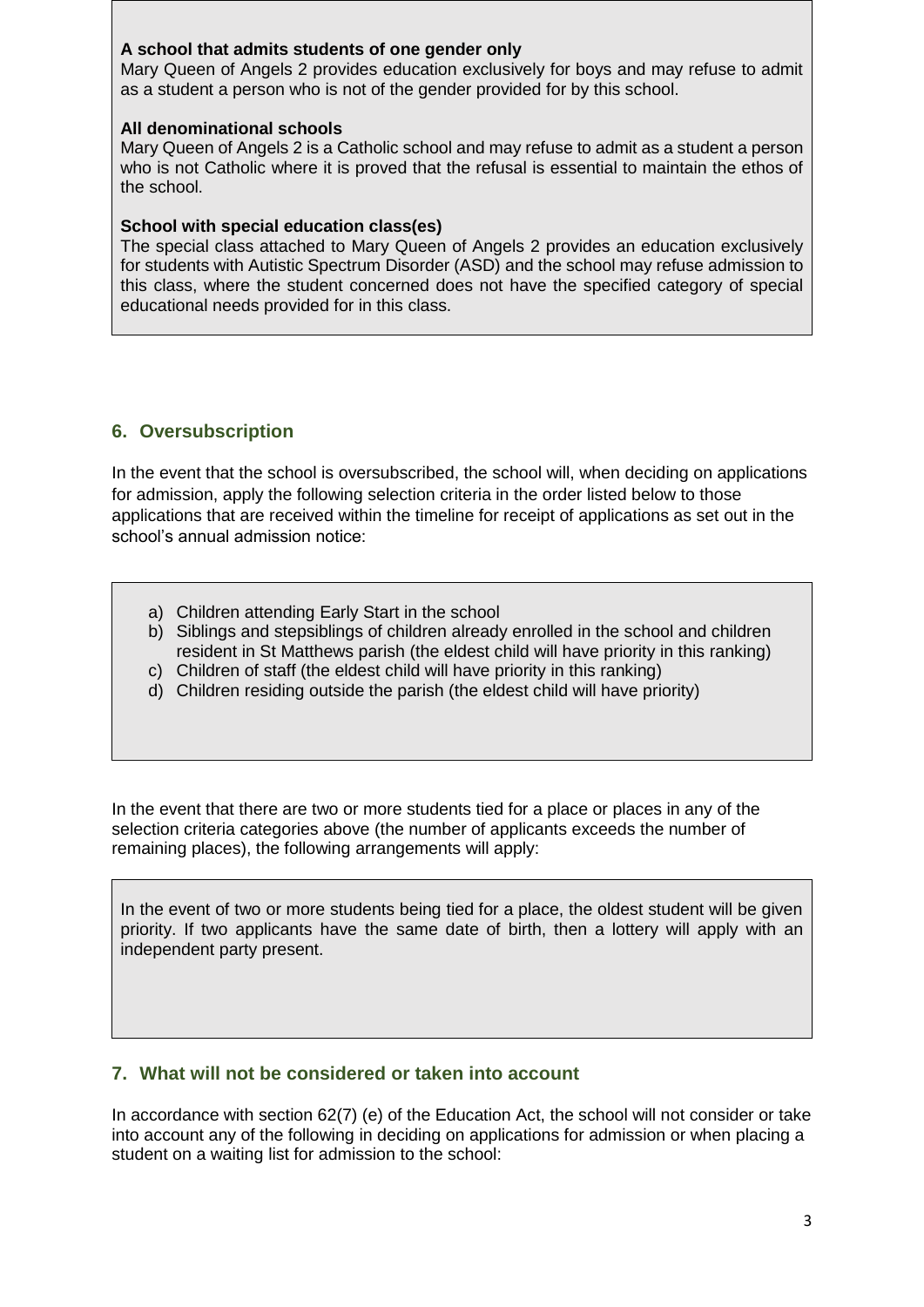## **A school that admits students of one gender only**

Mary Queen of Angels 2 provides education exclusively for boys and may refuse to admit as a student a person who is not of the gender provided for by this school.

#### **All denominational schools**

Mary Queen of Angels 2 is a Catholic school and may refuse to admit as a student a person who is not Catholic where it is proved that the refusal is essential to maintain the ethos of the school.

#### **School with special education class(es)**

The special class attached to Mary Queen of Angels 2 provides an education exclusively for students with Autistic Spectrum Disorder (ASD) and the school may refuse admission to this class, where the student concerned does not have the specified category of special educational needs provided for in this class.

## <span id="page-3-0"></span>**6. Oversubscription**

In the event that the school is oversubscribed, the school will, when deciding on applications for admission, apply the following selection criteria in the order listed below to those applications that are received within the timeline for receipt of applications as set out in the school's annual admission notice:

- a) Children attending Early Start in the school
- b) Siblings and stepsiblings of children already enrolled in the school and children resident in St Matthews parish (the eldest child will have priority in this ranking)
- c) Children of staff (the eldest child will have priority in this ranking)
- d) Children residing outside the parish (the eldest child will have priority)

In the event that there are two or more students tied for a place or places in any of the selection criteria categories above (the number of applicants exceeds the number of remaining places), the following arrangements will apply:

In the event of two or more students being tied for a place, the oldest student will be given priority. If two applicants have the same date of birth, then a lottery will apply with an independent party present.

## **7. What will not be considered or taken into account**

In accordance with section 62(7) (e) of the Education Act, the school will not consider or take into account any of the following in deciding on applications for admission or when placing a student on a waiting list for admission to the school: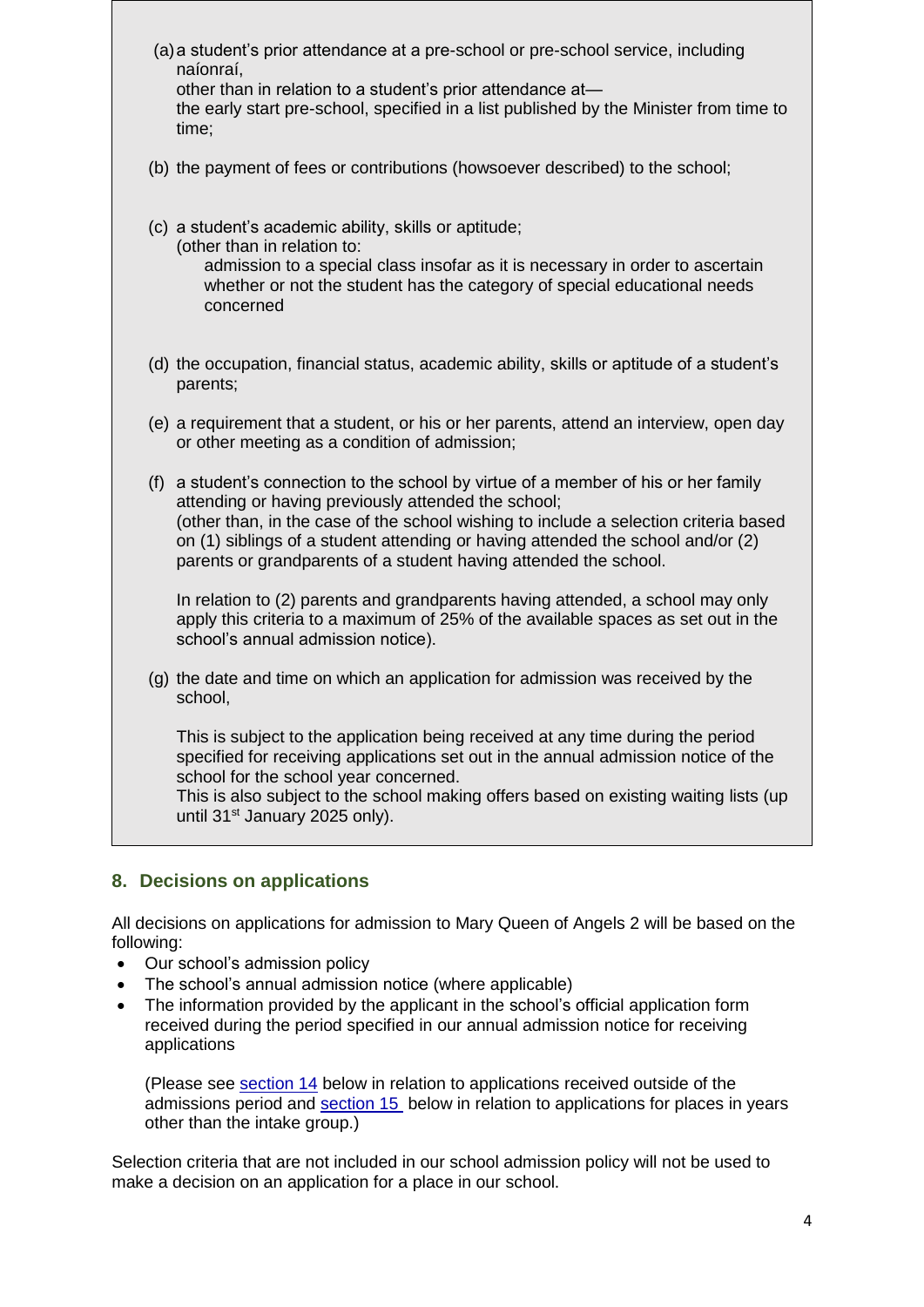- (a)a student's prior attendance at a pre-school or pre-school service, including naíonraí, other than in relation to a student's prior attendance at the early start pre-school, specified in a list published by the Minister from time to time;
- (b) the payment of fees or contributions (howsoever described) to the school;
- (c) a student's academic ability, skills or aptitude;

(other than in relation to:

admission to a special class insofar as it is necessary in order to ascertain whether or not the student has the category of special educational needs concerned

- (d) the occupation, financial status, academic ability, skills or aptitude of a student's parents;
- (e) a requirement that a student, or his or her parents, attend an interview, open day or other meeting as a condition of admission;
- (f) a student's connection to the school by virtue of a member of his or her family attending or having previously attended the school; (other than, in the case of the school wishing to include a selection criteria based on (1) siblings of a student attending or having attended the school and/or (2) parents or grandparents of a student having attended the school.

In relation to (2) parents and grandparents having attended, a school may only apply this criteria to a maximum of 25% of the available spaces as set out in the school's annual admission notice).

(g) the date and time on which an application for admission was received by the school,

This is subject to the application being received at any time during the period specified for receiving applications set out in the annual admission notice of the school for the school year concerned.

This is also subject to the school making offers based on existing waiting lists (up until 31<sup>st</sup> January 2025 only).

## **8. Decisions on applications**

All decisions on applications for admission to Mary Queen of Angels 2 will be based on the following:

- Our school's admission policy
- The school's annual admission notice (where applicable)
- The information provided by the applicant in the school's official application form received during the period specified in our annual admission notice for receiving applications

(Please see [section 14](#page-6-0) below in relation to applications received outside of the admissions period and [section 15](#page-7-0) below in relation to applications for places in years other than the intake group.)

Selection criteria that are not included in our school admission policy will not be used to make a decision on an application for a place in our school.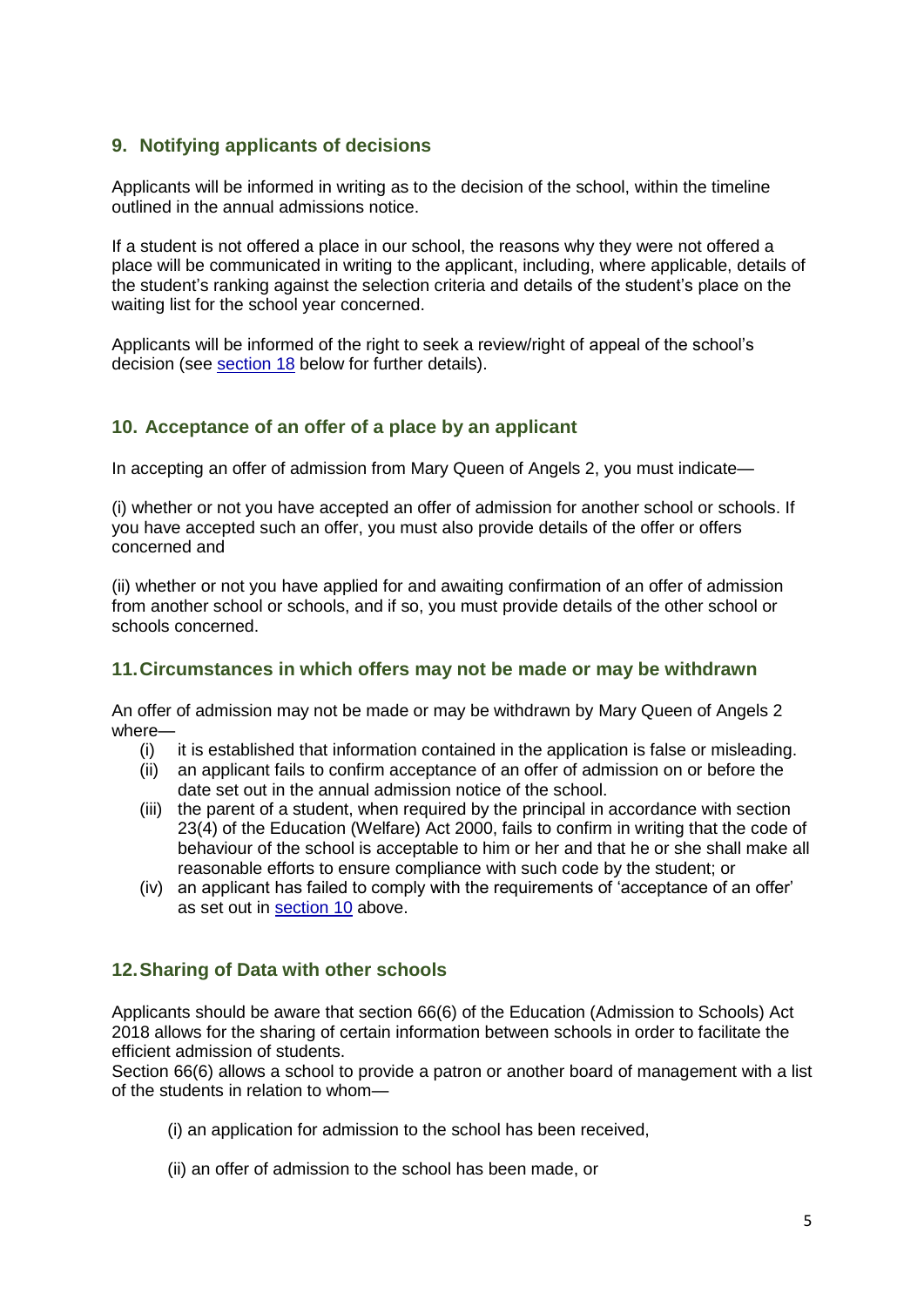## **9. Notifying applicants of decisions**

Applicants will be informed in writing as to the decision of the school, within the timeline outlined in the annual admissions notice.

If a student is not offered a place in our school, the reasons why they were not offered a place will be communicated in writing to the applicant, including, where applicable, details of the student's ranking against the selection criteria and details of the student's place on the waiting list for the school year concerned.

Applicants will be informed of the right to seek a review/right of appeal of the school's decision (see [section 18](#page-7-1) below for further details).

## <span id="page-5-0"></span>**10. Acceptance of an offer of a place by an applicant**

In accepting an offer of admission from Mary Queen of Angels 2, you must indicate—

(i) whether or not you have accepted an offer of admission for another school or schools. If you have accepted such an offer, you must also provide details of the offer or offers concerned and

(ii) whether or not you have applied for and awaiting confirmation of an offer of admission from another school or schools, and if so, you must provide details of the other school or schools concerned.

#### **11.Circumstances in which offers may not be made or may be withdrawn**

An offer of admission may not be made or may be withdrawn by Mary Queen of Angels 2 where—

- (i) it is established that information contained in the application is false or misleading.
- (ii) an applicant fails to confirm acceptance of an offer of admission on or before the date set out in the annual admission notice of the school.
- (iii) the parent of a student, when required by the principal in accordance with section 23(4) of the Education (Welfare) Act 2000, fails to confirm in writing that the code of behaviour of the school is acceptable to him or her and that he or she shall make all reasonable efforts to ensure compliance with such code by the student; or
- (iv) an applicant has failed to comply with the requirements of 'acceptance of an offer' as set out in [section 10](#page-5-0) above.

## **12.Sharing of Data with other schools**

Applicants should be aware that section 66(6) of the Education (Admission to Schools) Act 2018 allows for the sharing of certain information between schools in order to facilitate the efficient admission of students.

Section 66(6) allows a school to provide a patron or another board of management with a list of the students in relation to whom—

- (i) an application for admission to the school has been received,
- (ii) an offer of admission to the school has been made, or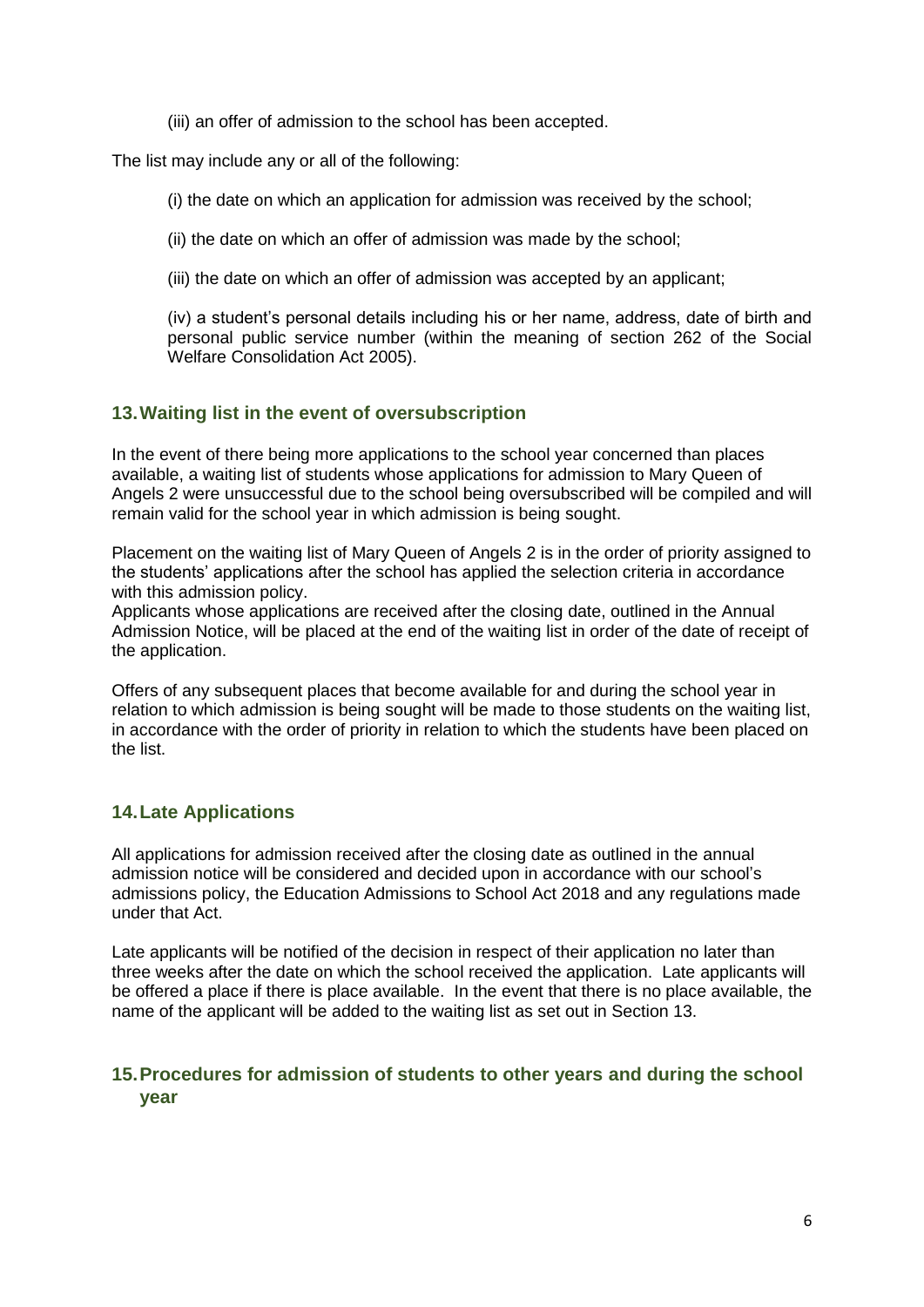(iii) an offer of admission to the school has been accepted.

The list may include any or all of the following:

(i) the date on which an application for admission was received by the school;

(ii) the date on which an offer of admission was made by the school;

(iii) the date on which an offer of admission was accepted by an applicant;

(iv) a student's personal details including his or her name, address, date of birth and personal public service number (within the meaning of section 262 of the Social Welfare Consolidation Act 2005).

## **13.Waiting list in the event of oversubscription**

In the event of there being more applications to the school year concerned than places available, a waiting list of students whose applications for admission to Mary Queen of Angels 2 were unsuccessful due to the school being oversubscribed will be compiled and will remain valid for the school year in which admission is being sought.

Placement on the waiting list of Mary Queen of Angels 2 is in the order of priority assigned to the students' applications after the school has applied the selection criteria in accordance with this admission policy.

Applicants whose applications are received after the closing date, outlined in the Annual Admission Notice, will be placed at the end of the waiting list in order of the date of receipt of the application.

Offers of any subsequent places that become available for and during the school year in relation to which admission is being sought will be made to those students on the waiting list, in accordance with the order of priority in relation to which the students have been placed on the list.

## **14.Late Applications**

All applications for admission received after the closing date as outlined in the annual admission notice will be considered and decided upon in accordance with our school's admissions policy, the Education Admissions to School Act 2018 and any regulations made under that Act.

Late applicants will be notified of the decision in respect of their application no later than three weeks after the date on which the school received the application. Late applicants will be offered a place if there is place available. In the event that there is no place available, the name of the applicant will be added to the waiting list as set out in Section 13.

## <span id="page-6-0"></span>**15.Procedures for admission of students to other years and during the school year**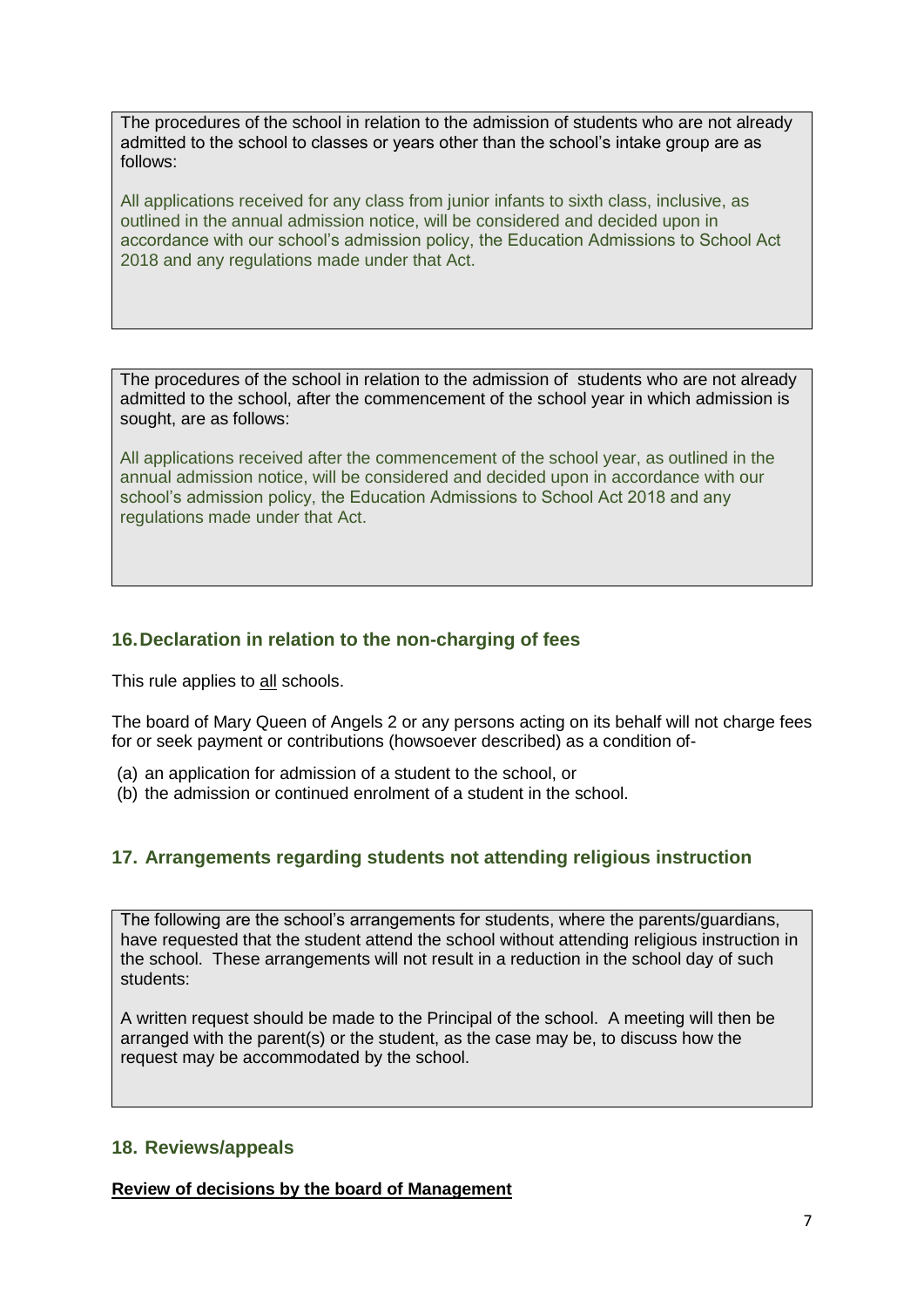The procedures of the school in relation to the admission of students who are not already admitted to the school to classes or years other than the school's intake group are as follows:

All applications received for any class from junior infants to sixth class, inclusive, as outlined in the annual admission notice, will be considered and decided upon in accordance with our school's admission policy, the Education Admissions to School Act 2018 and any regulations made under that Act.

The procedures of the school in relation to the admission of students who are not already admitted to the school, after the commencement of the school year in which admission is sought, are as follows:

All applications received after the commencement of the school year, as outlined in the annual admission notice, will be considered and decided upon in accordance with our school's admission policy, the Education Admissions to School Act 2018 and any regulations made under that Act.

## <span id="page-7-0"></span>**16.Declaration in relation to the non-charging of fees**

This rule applies to all schools.

The board of Mary Queen of Angels 2 or any persons acting on its behalf will not charge fees for or seek payment or contributions (howsoever described) as a condition of-

- (a) an application for admission of a student to the school, or
- (b) the admission or continued enrolment of a student in the school.

## **17. Arrangements regarding students not attending religious instruction**

The following are the school's arrangements for students, where the parents/guardians, have requested that the student attend the school without attending religious instruction in the school. These arrangements will not result in a reduction in the school day of such students:

A written request should be made to the Principal of the school. A meeting will then be arranged with the parent(s) or the student, as the case may be, to discuss how the request may be accommodated by the school.

## <span id="page-7-1"></span>**18. Reviews/appeals**

**Review of decisions by the board of Management**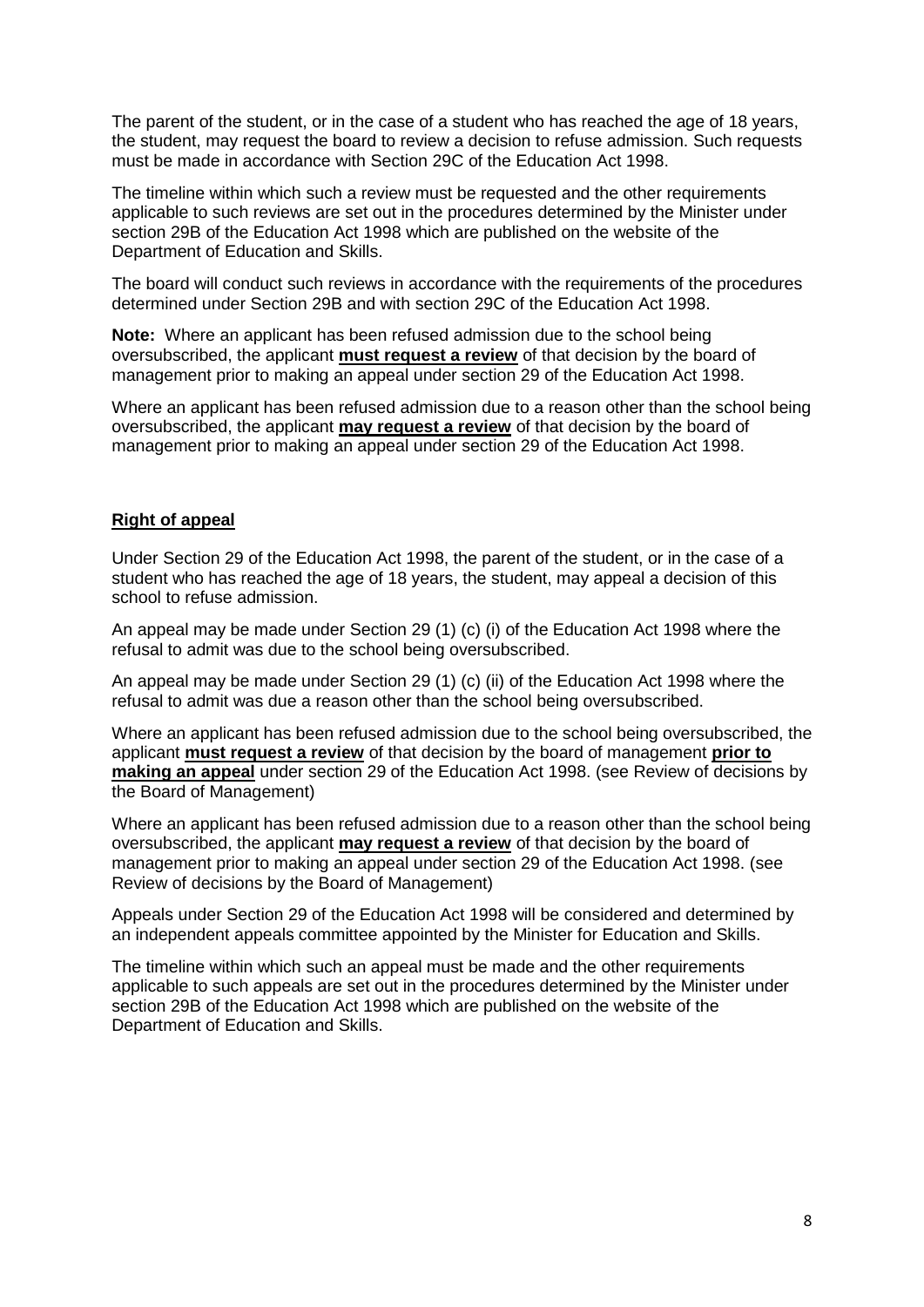The parent of the student, or in the case of a student who has reached the age of 18 years, the student, may request the board to review a decision to refuse admission. Such requests must be made in accordance with Section 29C of the Education Act 1998.

The timeline within which such a review must be requested and the other requirements applicable to such reviews are set out in the procedures determined by the Minister under section 29B of the Education Act 1998 which are published on the website of the Department of Education and Skills.

The board will conduct such reviews in accordance with the requirements of the procedures determined under Section 29B and with section 29C of the Education Act 1998.

**Note:** Where an applicant has been refused admission due to the school being oversubscribed, the applicant **must request a review** of that decision by the board of management prior to making an appeal under section 29 of the Education Act 1998.

Where an applicant has been refused admission due to a reason other than the school being oversubscribed, the applicant **may request a review** of that decision by the board of management prior to making an appeal under section 29 of the Education Act 1998.

#### **Right of appeal**

Under Section 29 of the Education Act 1998, the parent of the student, or in the case of a student who has reached the age of 18 years, the student, may appeal a decision of this school to refuse admission.

An appeal may be made under Section 29 (1) (c) (i) of the Education Act 1998 where the refusal to admit was due to the school being oversubscribed.

An appeal may be made under Section 29 (1) (c) (ii) of the Education Act 1998 where the refusal to admit was due a reason other than the school being oversubscribed.

Where an applicant has been refused admission due to the school being oversubscribed, the applicant **must request a review** of that decision by the board of management **prior to making an appeal** under section 29 of the Education Act 1998. (see Review of decisions by the Board of Management)

Where an applicant has been refused admission due to a reason other than the school being oversubscribed, the applicant **may request a review** of that decision by the board of management prior to making an appeal under section 29 of the Education Act 1998. (see Review of decisions by the Board of Management)

Appeals under Section 29 of the Education Act 1998 will be considered and determined by an independent appeals committee appointed by the Minister for Education and Skills.

The timeline within which such an appeal must be made and the other requirements applicable to such appeals are set out in the procedures determined by the Minister under section 29B of the Education Act 1998 which are published on the website of the Department of Education and Skills.